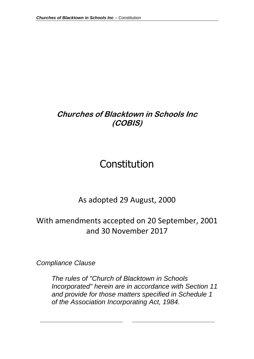# **Churches of Blacktown in Schools Inc (COBIS)**

# Constitution

# As adopted 29 August, 2000

# With amendments accepted on 20 September, 2001 and 30 November 2017

*Compliance Clause*

*The rules of "Church of Blacktown in Schools Incorporated" herein are in accordance with Section 11 and provide for those matters specified in Schedule 1 of the Association Incorporating Act, 1984.*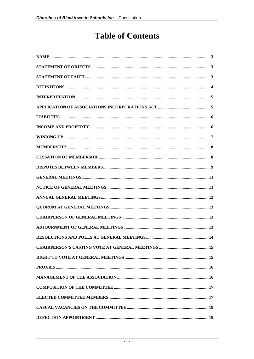# **Table of Contents**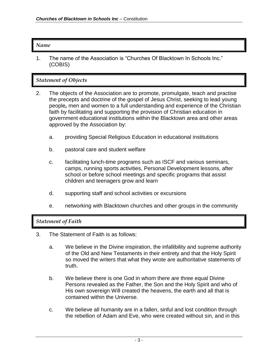#### *Name*

1. The name of the Association is "Churches Of Blacktown In Schools Inc." (COBIS)

### *Statement of Objects*

- 2. The objects of the Association are to promote, promulgate, teach and practise the precepts and doctrine of the gospel of Jesus Christ, seeking to lead young people*,* men and women to a full understanding and experience of the Christian faith by facilitating and supporting the provision of Christian education in government educational institutions within the Blacktown area and other areas approved by the Association by:
	- a. providing Special Religious Education in educational institutions
	- b. pastoral care and student welfare
	- c. facilitating lunch-time programs such as ISCF and various seminars, camps, running sports activities, Personal Development lessons, after school or before school meetings and specific programs that assist children and teenagers grow and learn
	- d. supporting staff and school activities or excursions
	- e. networking with Blacktown churches and other groups in the community

#### *Statement of Faith*

- 3. The Statement of Faith is as follows:
	- a. We believe in the Divine inspiration, the infallibility and supreme authority of the Old and New Testaments in their entirety and that the Holy Spirit so moved the writers that what they wrote are authoritative statements of truth.
	- b. We believe there is one God in whom there are three equal Divine Persons revealed as the Father, the Son and the Holy Spirit and who of His own sovereign Will created the heavens, the earth and all that is contained within the Universe.
	- c. We believe all humanity are in a fallen, sinful and lost condition through the rebellion of Adam and Eve, who were created without sin, and in this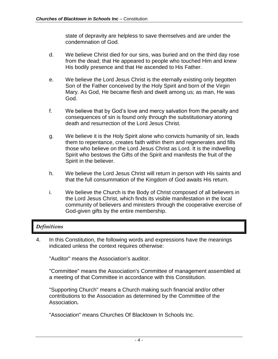state of depravity are helpless to save themselves and are under the condemnation of God.

- d. We believe Christ died for our sins, was buried and on the third day rose from the dead; that He appeared to people who touched Him and knew His bodily presence and that He ascended to His Father.
- e. We believe the Lord Jesus Christ is the eternally existing only begotten Son of the Father conceived by the Holy Spirit and born of the Virgin Mary. As God, He became flesh and dwelt among us; as man, He was God.
- f. We believe that by God's love and mercy salvation from the penalty and consequences of sin is found only through the substitutionary atoning death and resurrection of the Lord Jesus Christ.
- g. We believe it is the Holy Spirit alone who convicts humanity of sin, leads them to repentance, creates faith within them and regenerates and fills those who believe on the Lord Jesus Christ as Lord. It is the indwelling Spirit who bestows the Gifts of the Spirit and manifests the fruit of the Spirit in the believer.
- h. We believe the Lord Jesus Christ will return in person with His saints and that the full consummation of the Kingdom of God awaits His return.
- i. We believe the Church is the Body of Christ composed of all believers in the Lord Jesus Christ, which finds its visible manifestation in the local community of believers and ministers through the cooperative exercise of God-given gifts by the entire membership.

# *Definitions*

4. In this Constitution, the following words and expressions have the meanings indicated unless the context requires otherwise:

"Auditor" means the Association's auditor.

"Committee" means the Association's Committee of management assembled at a meeting of that Committee in accordance with this Constitution.

"Supporting Church" means a Church making such financial and/or other contributions to the Association as determined by the Committee of the Association**.** 

"Association" means Churches Of Blacktown In Schools Inc.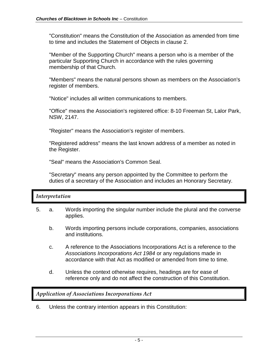"Constitution" means the Constitution of the Association as amended from time to time and includes the Statement of Objects in clause 2.

"Member of the Supporting Church" means a person who is a member of the particular Supporting Church in accordance with the rules governing membership of that Church.

"Members" means the natural persons shown as members on the Association's register of members.

"Notice" includes all written communications to members.

"Office" means the Association's registered office: 8-10 Freeman St, Lalor Park, NSW, 2147.

"Register" means the Association's register of members.

"Registered address" means the last known address of a member as noted in the Register.

"Seal" means the Association's Common Seal.

"Secretary" means any person appointed by the Committee to perform the duties of a secretary of the Association and includes an Honorary Secretary.

#### *Interpretation*

- 5. a. Words importing the singular number include the plural and the converse applies.
	- b. Words importing persons include corporations, companies, associations and institutions.
	- c. A reference to the Associations Incorporations Act is a reference to the *Associations Incorporations Act 1984* or any regulations made in accordance with that Act as modified or amended from time to time.
	- d. Unless the context otherwise requires, headings are for ease of reference only and do not affect the construction of this Constitution.

*Application of Associations Incorporations Act*

6. Unless the contrary intention appears in this Constitution: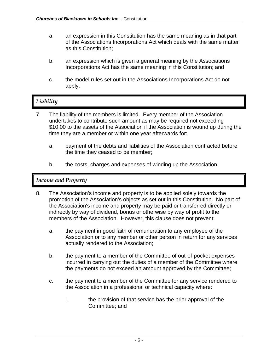- a. an expression in this Constitution has the same meaning as in that part of the Associations Incorporations Act which deals with the same matter as this Constitution;
- b. an expression which is given a general meaning by the Associations Incorporations Act has the same meaning in this Constitution; and
- c. the model rules set out in the Associations Incorporations Act do not apply.

# *Liability*

- 7. The liability of the members is limited. Every member of the Association undertakes to contribute such amount as may be required not exceeding \$10.00 to the assets of the Association if the Association is wound up during the time they are a member or within one year afterwards for:
	- a. payment of the debts and liabilities of the Association contracted before the time they ceased to be member;
	- b. the costs, charges and expenses of winding up the Association.

#### *Income and Property*

- 8. The Association's income and property is to be applied solely towards the promotion of the Association's objects as set out in this Constitution. No part of the Association's income and property may be paid or transferred directly or indirectly by way of dividend, bonus or otherwise by way of profit to the members of the Association. However, this clause does not prevent:
	- a. the payment in good faith of remuneration to any employee of the Association or to any member or other person in return for any services actually rendered to the Association;
	- b. the payment to a member of the Committee of out-of-pocket expenses incurred in carrying out the duties of a member of the Committee where the payments do not exceed an amount approved by the Committee;
	- c. the payment to a member of the Committee for any service rendered to the Association in a professional or technical capacity where:
		- i. the provision of that service has the prior approval of the Committee; and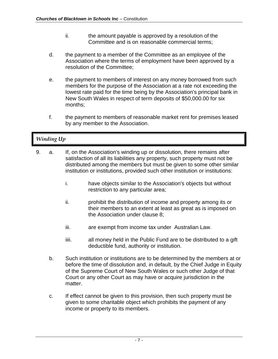- ii. the amount payable is approved by a resolution of the Committee and is on reasonable commercial terms;
- d. the payment to a member of the Committee as an employee of the Association where the terms of employment have been approved by a resolution of the Committee;
- e. the payment to members of interest on any money borrowed from such members for the purpose of the Association at a rate not exceeding the lowest rate paid for the time being by the Association's principal bank in New South Wales in respect of term deposits of \$50,000.00 for six months;
- f. the payment to members of reasonable market rent for premises leased by any member to the Association.

# *Winding Up*

- 9. a. If, on the Association's winding up or dissolution, there remains after satisfaction of all its liabilities any property, such property must not be distributed among the members but must be given to some other similar institution or institutions, provided such other institution or institutions:
	- i. have objects similar to the Association's objects but without restriction to any particular area;
	- ii. prohibit the distribution of income and property among its or their members to an extent at least as great as is imposed on the Association under clause 8;
	- iii. are exempt from income tax under Australian Law.
	- iiii. all money held in the Public Fund are to be distributed to a gift deductible fund, authority or institution.
	- b. Such institution or institutions are to be determined by the members at or before the time of dissolution and, in default, by the Chief Judge in Equity of the Supreme Court of New South Wales or such other Judge of that Court or any other Court as may have or acquire jurisdiction in the matter.
	- c. If effect cannot be given to this provision, then such property must be given to some charitable object which prohibits the payment of any income or property to its members.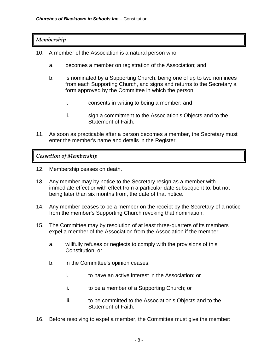#### *Membership*

- 10. A member of the Association is a natural person who:
	- a. becomes a member on registration of the Association; and
	- b. is nominated by a Supporting Church, being one of up to two nominees from each Supporting Church, and signs and returns to the Secretary a form approved by the Committee in which the person:
		- i. consents in writing to being a member; and
		- ii. sign a commitment to the Association's Objects and to the Statement of Faith.
- 11. As soon as practicable after a person becomes a member, the Secretary must enter the member's name and details in the Register.

*Cessation of Membership*

- 12. Membership ceases on death.
- 13. Any member may by notice to the Secretary resign as a member with immediate effect or with effect from a particular date subsequent to, but not being later than six months from, the date of that notice.
- 14. Any member ceases to be a member on the receipt by the Secretary of a notice from the member's Supporting Church revoking that nomination.
- 15. The Committee may by resolution of at least three-quarters of its members expel a member of the Association from the Association if the member:
	- a. willfully refuses or neglects to comply with the provisions of this Constitution; or
	- b. in the Committee's opinion ceases:
		- i. to have an active interest in the Association; or
		- ii. to be a member of a Supporting Church; or
		- iii. to be committed to the Association's Objects and to the Statement of Faith.
- 16. Before resolving to expel a member, the Committee must give the member: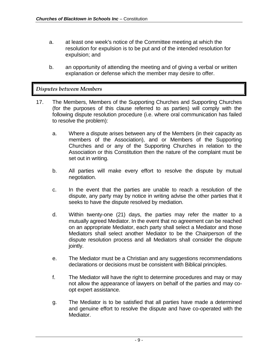- a. at least one week's notice of the Committee meeting at which the resolution for expulsion is to be put and of the intended resolution for expulsion; and
- b. an opportunity of attending the meeting and of giving a verbal or written explanation or defense which the member may desire to offer.

#### *Disputes between Members*

- 17. The Members, Members of the Supporting Churches and Supporting Churches (for the purposes of this clause referred to as parties) will comply with the following dispute resolution procedure (i.e. where oral communication has failed to resolve the problem):
	- a. Where a dispute arises between any of the Members (in their capacity as members of the Association), and or Members of the Supporting Churches and or any of the Supporting Churches in relation to the Association or this Constitution then the nature of the complaint must be set out in writing.
	- b. All parties will make every effort to resolve the dispute by mutual negotiation.
	- c. In the event that the parties are unable to reach a resolution of the dispute, any party may by notice in writing advise the other parties that it seeks to have the dispute resolved by mediation.
	- d. Within twenty-one (21) days, the parties may refer the matter to a mutually agreed Mediator. In the event that no agreement can be reached on an appropriate Mediator, each party shall select a Mediator and those Mediators shall select another Mediator to be the Chairperson of the dispute resolution process and all Mediators shall consider the dispute jointly.
	- e. The Mediator must be a Christian and any suggestions recommendations declarations or decisions must be consistent with Biblical principles.
	- f. The Mediator will have the right to determine procedures and may or may not allow the appearance of lawyers on behalf of the parties and may coopt expert assistance.
	- g. The Mediator is to be satisfied that all parties have made a determined and genuine effort to resolve the dispute and have co-operated with the Mediator.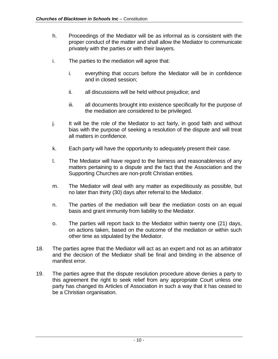- h. Proceedings of the Mediator will be as informal as is consistent with the proper conduct of the matter and shall allow the Mediator to communicate privately with the parties or with their lawyers.
- i. The parties to the mediation will agree that:
	- i. everything that occurs before the Mediator will be in confidence and in closed session;
	- ii. all discussions will be held without prejudice; and
	- iii. all documents brought into existence specifically for the purpose of the mediation are considered to be privileged.
- j. It will be the role of the Mediator to act fairly, in good faith and without bias with the purpose of seeking a resolution of the dispute and will treat all matters in confidence.
- k. Each party will have the opportunity to adequately present their case.
- l. The Mediator will have regard to the fairness and reasonableness of any matters pertaining to a dispute and the fact that the Association and the Supporting Churches are non-profit Christian entities.
- m. The Mediator will deal with any matter as expeditiously as possible, but no later than thirty (30) days after referral to the Mediator.
- n. The parties of the mediation will bear the mediation costs on an equal basis and grant immunity from liability to the Mediator.
- o. The parties will report back to the Mediator within twenty one (21) days, on actions taken, based on the outcome of the mediation or within such other time as stipulated by the Mediator.
- 18. The parties agree that the Mediator will act as an expert and not as an arbitrator and the decision of the Mediator shall be final and binding in the absence of manifest error.
- 19. The parties agree that the dispute resolution procedure above denies a party to this agreement the right to seek relief from any appropriate Court unless one party has changed its Articles of Association in such a way that it has ceased to be a Christian organisation.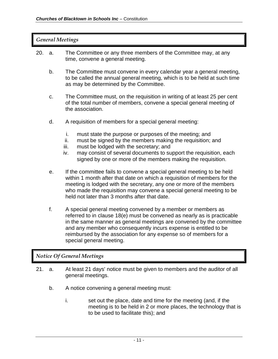| 20.                               | The Committee or any three members of the Committee may, at any<br>a.<br>time, convene a general meeting. |                                                                                                                                                                                                                                                                                                                                                                                       |  |  |  |  |
|-----------------------------------|-----------------------------------------------------------------------------------------------------------|---------------------------------------------------------------------------------------------------------------------------------------------------------------------------------------------------------------------------------------------------------------------------------------------------------------------------------------------------------------------------------------|--|--|--|--|
|                                   | b.                                                                                                        | The Committee must convene in every calendar year a general meeting,<br>to be called the annual general meeting, which is to be held at such time<br>as may be determined by the Committee.                                                                                                                                                                                           |  |  |  |  |
|                                   | C.                                                                                                        | The Committee must, on the requisition in writing of at least 25 per cent<br>of the total number of members, convene a special general meeting of<br>the association.                                                                                                                                                                                                                 |  |  |  |  |
|                                   | d.                                                                                                        | A requisition of members for a special general meeting:                                                                                                                                                                                                                                                                                                                               |  |  |  |  |
|                                   |                                                                                                           | i.<br>must state the purpose or purposes of the meeting; and<br>must be signed by the members making the requisition; and<br>ii.<br>iii.<br>must be lodged with the secretary; and<br>may consist of several documents to support the requisition, each<br>iv.<br>signed by one or more of the members making the requisition.                                                        |  |  |  |  |
|                                   | е.                                                                                                        | If the committee fails to convene a special general meeting to be held<br>within 1 month after that date on which a requisition of members for the<br>meeting is lodged with the secretary, any one or more of the members<br>who made the requisition may convene a special general meeting to be<br>held not later than 3 months after that date.                                   |  |  |  |  |
|                                   | f.                                                                                                        | A special general meeting convened by a member or members as<br>referred to in clause 18(e) must be convened as nearly as is practicable<br>in the same manner as general meetings are convened by the committee<br>and any member who consequently incurs expense is entitled to be<br>reimbursed by the association for any expense so of members for a<br>special general meeting. |  |  |  |  |
| <b>Notice Of General Meetings</b> |                                                                                                           |                                                                                                                                                                                                                                                                                                                                                                                       |  |  |  |  |
|                                   |                                                                                                           |                                                                                                                                                                                                                                                                                                                                                                                       |  |  |  |  |

- 21. a. At least 21 days' notice must be given to members and the auditor of all general meetings.
	- b. A notice convening a general meeting must:
		- i. set out the place, date and time for the meeting (and, if the meeting is to be held in 2 or more places, the technology that is to be used to facilitate this); and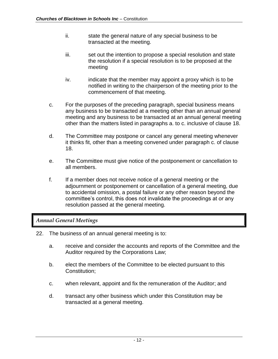- ii. State the general nature of any special business to be transacted at the meeting.
- iii. set out the intention to propose a special resolution and state the resolution if a special resolution is to be proposed at the meeting
- iv. indicate that the member may appoint a proxy which is to be notified in writing to the chairperson of the meeting prior to the commencement of that meeting.
- c. For the purposes of the preceding paragraph, special business means any business to be transacted at a meeting other than an annual general meeting and any business to be transacted at an annual general meeting other than the matters listed in paragraphs a. to c. inclusive of clause 18.
- d. The Committee may postpone or cancel any general meeting whenever it thinks fit, other than a meeting convened under paragraph c. of clause 18.
- e. The Committee must give notice of the postponement or cancellation to all members.
- f. If a member does not receive notice of a general meeting or the adjournment or postponement or cancellation of a general meeting, due to accidental omission, a postal failure or any other reason beyond the committee's control, this does not invalidate the proceedings at or any resolution passed at the general meeting.

#### *Annual General Meetings*

- 22. The business of an annual general meeting is to:
	- a. receive and consider the accounts and reports of the Committee and the Auditor required by the Corporations Law;
	- b. elect the members of the Committee to be elected pursuant to this Constitution;
	- c. when relevant, appoint and fix the remuneration of the Auditor; and
	- d. transact any other business which under this Constitution may be transacted at a general meeting.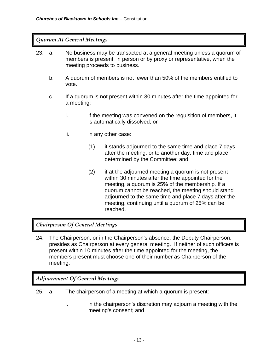#### *Quorum At General Meetings*

- 23. a. No business may be transacted at a general meeting unless a quorum of members is present, in person or by proxy or representative, when the meeting proceeds to business.
	- b. A quorum of members is not fewer than 50% of the members entitled to vote.
	- c. If a quorum is not present within 30 minutes after the time appointed for a meeting:
		- i. i.e. if the meeting was convened on the requisition of members, it is automatically dissolved; or
		- ii. **in any other case:** 
			- (1) it stands adjourned to the same time and place 7 days after the meeting, or to another day, time and place determined by the Committee; and
			- (2) if at the adjourned meeting a quorum is not present within 30 minutes after the time appointed for the meeting, a quorum is 25% of the membership. If a quorum cannot be reached, the meeting should stand adjourned to the same time and place 7 days after the meeting, continuing until a quorum of 25% can be reached.

#### *Chairperson Of General Meetings*

24. The Chairperson, or in the Chairperson's absence, the Deputy Chairperson, presides as Chairperson at every general meeting. If neither of such officers is present within 10 minutes after the time appointed for the meeting, the members present must choose one of their number as Chairperson of the meeting.

#### *Adjournment Of General Meetings*

- 25. a. The chairperson of a meeting at which a quorum is present:
	- i. in the chairperson's discretion may adjourn a meeting with the meeting's consent; and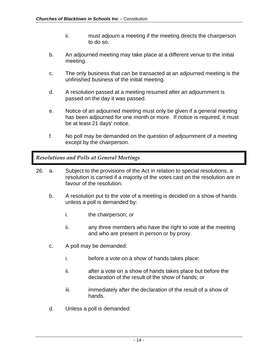- ii. must adjourn a meeting if the meeting directs the chairperson to do so.
- b. An adjourned meeting may take place at a different venue to the initial meeting.
- c. The only business that can be transacted at an adjourned meeting is the unfinished business of the initial meeting.
- d. A resolution passed at a meeting resumed after an adjournment is passed on the day it was passed.
- e. Notice of an adjourned meeting must only be given if a general meeting has been adjourned for one month or more. If notice is required, it must be at least 21 days' notice.
- f. No poll may be demanded on the question of adjournment of a meeting except by the chairperson.

#### *Resolutions and Polls at General Meetings*

- 26. a. Subject to the provisions of the Act in relation to special resolutions, a resolution is carried if a majority of the votes cast on the resolution are in favour of the resolution.
	- b. A resolution put to the vote of a meeting is decided on a show of hands unless a poll is demanded by:
		- i. the chairperson; or
		- ii. any three members who have the right to vote at the meeting and who are present in person or by proxy.
	- c. A poll may be demanded:
		- i. before a vote on a show of hands takes place;
		- ii. after a vote on a show of hands takes place but before the declaration of the result of the show of hands; or
		- iii. iii. immediately after the declaration of the result of a show of hands.
	- d. Unless a poll is demanded: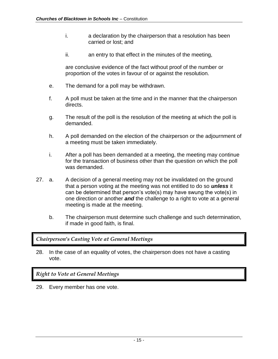- i. a declaration by the chairperson that a resolution has been carried or lost; and
- ii. an entry to that effect in the minutes of the meeting,

are conclusive evidence of the fact without proof of the number or proportion of the votes in favour of or against the resolution.

- e. The demand for a poll may be withdrawn.
- f. A poll must be taken at the time and in the manner that the chairperson directs.
- g. The result of the poll is the resolution of the meeting at which the poll is demanded.
- h. A poll demanded on the election of the chairperson or the adjournment of a meeting must be taken immediately.
- i. After a poll has been demanded at a meeting, the meeting may continue for the transaction of business other than the question on which the poll was demanded.
- 27. a. A decision of a general meeting may not be invalidated on the ground that a person voting at the meeting was not entitled to do so *unless* it can be determined that person's vote(s) may have swung the vote(s) in one direction or another *and* the challenge to a right to vote at a general meeting is made at the meeting.
	- b. The chairperson must determine such challenge and such determination, if made in good faith, is final.

#### *Chairperson's Casting Vote at General Meetings*

28. In the case of an equality of votes, the chairperson does not have a casting vote.

#### *Right to Vote at General Meetings*

29. Every member has one vote.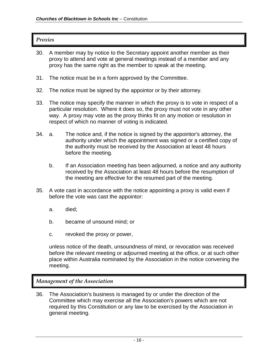#### *Proxies*

- 30. A member may by notice to the Secretary appoint another member as their proxy to attend and vote at general meetings instead of a member and any proxy has the same right as the member to speak at the meeting.
- 31. The notice must be in a form approved by the Committee.
- 32. The notice must be signed by the appointor or by their attorney.
- 33. The notice may specify the manner in which the proxy is to vote in respect of a particular resolution. Where it does so, the proxy must not vote in any other way. A proxy may vote as the proxy thinks fit on any motion or resolution in respect of which no manner of voting is indicated.
- 34. a. The notice and, if the notice is signed by the appointor's attorney, the authority under which the appointment was signed or a certified copy of the authority must be received by the Association at least 48 hours before the meeting.
	- b. If an Association meeting has been adjourned, a notice and any authority received by the Association at least 48 hours before the resumption of the meeting are effective for the resumed part of the meeting.
- 35. A vote cast in accordance with the notice appointing a proxy is valid even if before the vote was cast the appointor:
	- a. died;
	- b. became of unsound mind; or
	- c. revoked the proxy or power,

unless notice of the death, unsoundness of mind, or revocation was received before the relevant meeting or adjourned meeting at the office, or at such other place within Australia nominated by the Association in the notice convening the meeting.

#### *Management of the Association*

36. The Association's business is managed by or under the direction of the Committee which may exercise all the Association's powers which are not required by this Constitution or any law to be exercised by the Association in general meeting.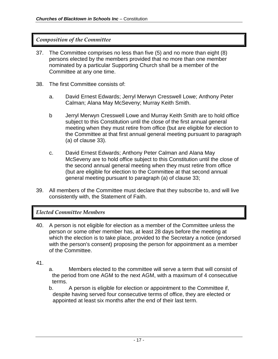#### *Composition of the Committee*

- 37. The Committee comprises no less than five (5) and no more than eight (8) persons elected by the members provided that no more than one member nominated by a particular Supporting Church shall be a member of the Committee at any one time.
- 38. The first Committee consists of:
	- a. David Ernest Edwards; Jerryl Merwyn Cresswell Lowe; Anthony Peter Calman; Alana May McSeveny; Murray Keith Smith.
	- b Jerryl Merwyn Cresswell Lowe and Murray Keith Smith are to hold office subject to this Constitution until the close of the first annual general meeting when they must retire from office (but are eligible for election to the Committee at that first annual general meeting pursuant to paragraph (a) of clause 33).
	- c. David Ernest Edwards; Anthony Peter Calman and Alana May McSeveny are to hold office subject to this Constitution until the close of the second annual general meeting when they must retire from office (but are eligible for election to the Committee at that second annual general meeting pursuant to paragraph (a) of clause 33;
- 39. All members of the Committee must declare that they subscribe to, and will live consistently with, the Statement of Faith.

#### *Elected Committee Members*

- 40. A person is not eligible for election as a member of the Committee unless the person or some other member has, at least 28 days before the meeting at which the election is to take place, provided to the Secretary a notice (endorsed with the person's consent) proposing the person for appointment as a member of the Committee.
- 41.
- a. Members elected to the committee will serve a term that will consist of the period from one AGM to the next AGM, with a maximum of 4 consecutive terms.
- b. A person is eligible for election or appointment to the Committee if, despite having served four consecutive terms of office, they are elected or appointed at least six months after the end of their last term.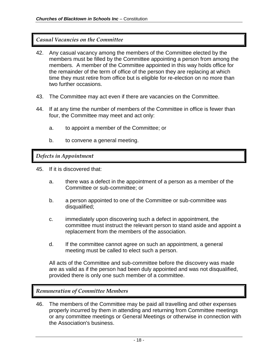#### *Casual Vacancies on the Committee*

- 42. Any casual vacancy among the members of the Committee elected by the members must be filled by the Committee appointing a person from among the members. A member of the Committee appointed in this way holds office for the remainder of the term of office of the person they are replacing at which time they must retire from office but is eligible for re-election on no more than two further occasions.
- 43. The Committee may act even if there are vacancies on the Committee.
- 44. If at any time the number of members of the Committee in office is fewer than four, the Committee may meet and act only:
	- a. to appoint a member of the Committee; or
	- b. to convene a general meeting.

*Defects in Appointment*

45. If it is discovered that:

- a. there was a defect in the appointment of a person as a member of the Committee or sub-committee; or
- b. a person appointed to one of the Committee or sub-committee was disqualified;
- c. immediately upon discovering such a defect in appointment, the committee must instruct the relevant person to stand aside and appoint a replacement from the members of the association.
- d. If the committee cannot agree on such an appointment, a general meeting must be called to elect such a person.

All acts of the Committee and sub-committee before the discovery was made are as valid as if the person had been duly appointed and was not disqualified, provided there is only one such member of a committee.

#### *Remuneration of Committee Members*

46. The members of the Committee may be paid all travelling and other expenses properly incurred by them in attending and returning from Committee meetings or any committee meetings or General Meetings or otherwise in connection with the Association's business.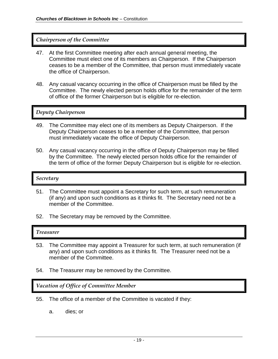#### *Chairperson of the Committee*

- 47. At the first Committee meeting after each annual general meeting, the Committee must elect one of its members as Chairperson. If the Chairperson ceases to be a member of the Committee, that person must immediately vacate the office of Chairperson.
- 48. Any casual vacancy occurring in the office of Chairperson must be filled by the Committee. The newly elected person holds office for the remainder of the term of office of the former Chairperson but is eligible for re-election.

#### *Deputy Chairperson*

- 49. The Committee may elect one of its members as Deputy Chairperson. If the Deputy Chairperson ceases to be a member of the Committee, that person must immediately vacate the office of Deputy Chairperson.
- 50. Any casual vacancy occurring in the office of Deputy Chairperson may be filled by the Committee. The newly elected person holds office for the remainder of the term of office of the former Deputy Chairperson but is eligible for re-election.

#### *Secretary*

- 51. The Committee must appoint a Secretary for such term, at such remuneration (if any) and upon such conditions as it thinks fit. The Secretary need not be a member of the Committee.
- 52. The Secretary may be removed by the Committee.

#### *Treasurer*

- 53. The Committee may appoint a Treasurer for such term, at such remuneration (if any) and upon such conditions as it thinks fit. The Treasurer need not be a member of the Committee.
- 54. The Treasurer may be removed by the Committee.

*Vacation of Office of Committee Member*

- 55. The office of a member of the Committee is vacated if they:
	- a. dies; or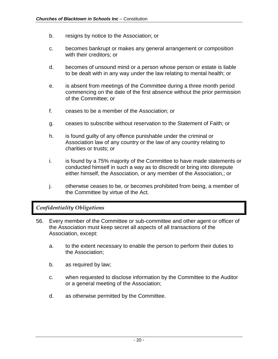- b. resigns by notice to the Association; or
- c. becomes bankrupt or makes any general arrangement or composition with their creditors; or
- d. becomes of unsound mind or a person whose person or estate is liable to be dealt with in any way under the law relating to mental health; or
- e. is absent from meetings of the Committee during a three month period commencing on the date of the first absence without the prior permission of the Committee; or
- f. ceases to be a member of the Association; or
- g. ceases to subscribe without reservation to the Statement of Faith; or
- h. is found guilty of any offence punishable under the criminal or Association law of any country or the law of any country relating to charities or trusts; or
- i. is found by a 75% majority of the Committee to have made statements or conducted himself in such a way as to discredit or bring into disrepute either himself, the Association, or any member of the Association,; or
- j. otherwise ceases to be, or becomes prohibited from being, a member of the Committee by virtue of the Act.

#### *Confidentiality Obligations*

- 56. Every member of the Committee or sub-committee and other agent or officer of the Association must keep secret all aspects of all transactions of the Association, except:
	- a. to the extent necessary to enable the person to perform their duties to the Association;
	- b. as required by law;
	- c. when requested to disclose information by the Committee to the Auditor or a general meeting of the Association;
	- d. as otherwise permitted by the Committee.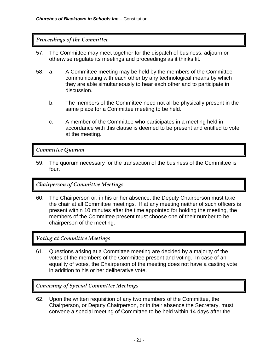#### *Proceedings of the Committee*

- 57. The Committee may meet together for the dispatch of business, adjourn or otherwise regulate its meetings and proceedings as it thinks fit.
- 58. a. A Committee meeting may be held by the members of the Committee communicating with each other by any technological means by which they are able simultaneously to hear each other and to participate in discussion.
	- b. The members of the Committee need not all be physically present in the same place for a Committee meeting to be held.
	- c. A member of the Committee who participates in a meeting held in accordance with this clause is deemed to be present and entitled to vote at the meeting.

#### *Committee Quorum*

59. The quorum necessary for the transaction of the business of the Committee is four.

#### *Chairperson of Committee Meetings*

60. The Chairperson or, in his or her absence, the Deputy Chairperson must take the chair at all Committee meetings. If at any meeting neither of such officers is present within 10 minutes after the time appointed for holding the meeting, the members of the Committee present must choose one of their number to be chairperson of the meeting.

*Voting at Committee Meetings*

61. Questions arising at a Committee meeting are decided by a majority of the votes of the members of the Committee present and voting. In case of an equality of votes, the Chairperson of the meeting does not have a casting vote in addition to his or her deliberative vote.

*Convening of Special Committee Meetings*

62. Upon the written requisition of any two members of the Committee, the Chairperson, or Deputy Chairperson, or in their absence the Secretary, must convene a special meeting of Committee to be held within 14 days after the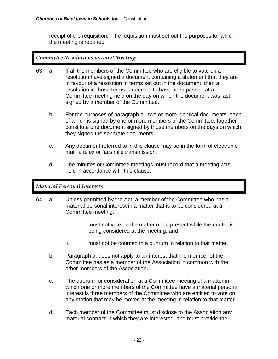receipt of the requisition. The requisition must set out the purposes for which the meeting is required.

#### *Committee Resolutions without Meetings*

- 63. a. If all the members of the Committee who are eligible to vote on a resolution have signed a document containing a statement that they are in favour of a resolution in terms set out in the document, then a resolution in those terms is deemed to have been passed at a Committee meeting held on the day on which the document was last signed by a member of the Committee.
	- b. For the purposes of paragraph a., two or more identical documents, each of which is signed by one or more members of the Committee, together constitute one document signed by those members on the days on which they signed the separate documents.
	- c. Any document referred to in this clause may be in the form of electronic mail, a telex or facsimile transmission.
	- d. The minutes of Committee meetings must record that a meeting was held in accordance with this clause.

#### *Material Personal Interests*

- 64. a. Unless permitted by the Act, a member of the Committee who has a material personal interest in a matter that is to be considered at a Committee meeting:
	- i. must not vote on the matter or be present while the matter is being considered at the meeting; and
	- ii. must not be counted in a quorum in relation to that matter.
	- b. Paragraph a. does not apply to an interest that the member of the Committee has as a member of the Association in common with the other members of the Association.
	- c. The quorum for consideration at a Committee meeting of a matter in which one or more members of the Committee have a material personal interest is three members of the Committee who are entitled to vote on any motion that may be moved at the meeting in relation to that matter.
	- d. Each member of the Committee must disclose to the Association any material contract in which they are interested, and must provide the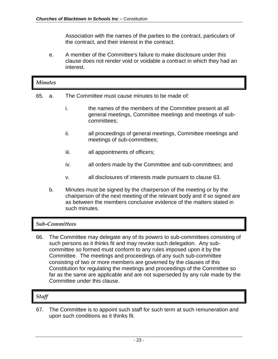Association with the names of the parties to the contract, particulars of the contract, and their interest in the contract.

e. A member of the Committee's failure to make disclosure under this clause does not render void or voidable a contract in which they had an interest.

|     | <b>Minutes</b> |                                                                                                                                                                                                                        |                                                                                                                                      |  |  |
|-----|----------------|------------------------------------------------------------------------------------------------------------------------------------------------------------------------------------------------------------------------|--------------------------------------------------------------------------------------------------------------------------------------|--|--|
| 65. | a.             | The Committee must cause minutes to be made of:                                                                                                                                                                        |                                                                                                                                      |  |  |
|     |                | i.                                                                                                                                                                                                                     | the names of the members of the Committee present at all<br>general meetings, Committee meetings and meetings of sub-<br>committees; |  |  |
|     |                | ii.                                                                                                                                                                                                                    | all proceedings of general meetings, Committee meetings and<br>meetings of sub-committees;                                           |  |  |
|     |                | iii.                                                                                                                                                                                                                   | all appointments of officers;                                                                                                        |  |  |
|     |                | iv.                                                                                                                                                                                                                    | all orders made by the Committee and sub-committees; and                                                                             |  |  |
|     |                | v.                                                                                                                                                                                                                     | all disclosures of interests made pursuant to clause 63.                                                                             |  |  |
|     | b.             | Minutes must be signed by the chairperson of the meeting or by the<br>chairperson of the next meeting of the relevant body and if so signed are<br>as between the members conclusive evidence of the matters stated in |                                                                                                                                      |  |  |

# *Sub-Committees*

such minutes.

66. The Committee may delegate any of its powers to sub-committees consisting of such persons as it thinks fit and may revoke such delegation. Any subcommittee so formed must conform to any rules imposed upon it by the Committee. The meetings and proceedings of any such sub-committee consisting of two or more members are governed by the clauses of this Constitution for regulating the meetings and proceedings of the Committee so far as the same are applicable and are not superseded by any rule made by the Committee under this clause.

# *Staff*

67. The Committee is to appoint such staff for such term at such remuneration and upon such conditions as it thinks fit.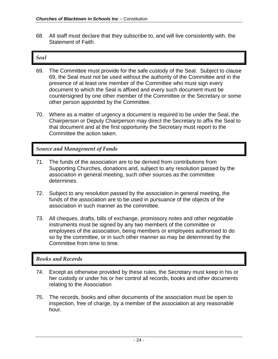68. All staff must declare that they subscribe to, and will live consistently with, the Statement of Faith.

#### *Seal*

- 69. The Committee must provide for the safe custody of the Seal. Subject to clause 69, the Seal must not be used without the authority of the Committee and in the presence of at least one member of the Committee who must sign every document to which the Seal is affixed and every such document must be countersigned by one other member of the Committee or the Secretary or some other person appointed by the Committee.
- 70. Where as a matter of urgency a document is required to be under the Seal, the Chairperson or Deputy Chairperson may direct the Secretary to affix the Seal to that document and at the first opportunity the Secretary must report to the Committee the action taken.

*Source and Management of Funds*

- 71. The funds of the association are to be derived from contributions from Supporting Churches, donations and, subject to any resolution passed by the association in general meeting, such other sources as the committee determines.
- 72. Subject to any resolution passed by the association in general meeting, the funds of the association are to be used in pursuance of the objects of the association in such manner as the committee.
- 73. All cheques, drafts, bills of exchange, promissory notes and other negotiable instruments must be signed by any two members of the committee or employees of the association, being members or employees authorised to do so by the committee, or in such other manner as may be determined by the Committee from time to time.

# *Books and Records*

- 74. Except as otherwise provided by these rules, the Secretary must keep in his or her custody or under his or her control all records, books and other documents relating to the Association
- 75. The records, books and other documents of the association must be open to inspection, free of charge, by a member of the association at any reasonable hour.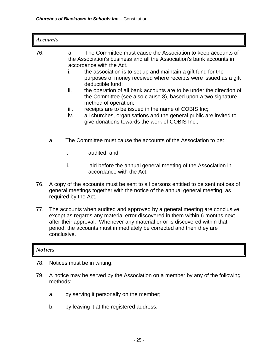|                | <b>Accounts</b>                                                                                                                                                                                                                                                                                                                 |                                |                                                                                                                                                                                                                                                                                                                                                                                                                                                                                                                                                                                                                                                                         |  |  |
|----------------|---------------------------------------------------------------------------------------------------------------------------------------------------------------------------------------------------------------------------------------------------------------------------------------------------------------------------------|--------------------------------|-------------------------------------------------------------------------------------------------------------------------------------------------------------------------------------------------------------------------------------------------------------------------------------------------------------------------------------------------------------------------------------------------------------------------------------------------------------------------------------------------------------------------------------------------------------------------------------------------------------------------------------------------------------------------|--|--|
| 76.            |                                                                                                                                                                                                                                                                                                                                 | a.<br>i.<br>ii.<br>iii.<br>iv. | The Committee must cause the Association to keep accounts of<br>the Association's business and all the Association's bank accounts in<br>accordance with the Act.<br>the association is to set up and maintain a gift fund for the<br>purposes of money received where receipts were issued as a gift<br>deductible fund;<br>the operation of all bank accounts are to be under the direction of<br>the Committee (see also clause 8), based upon a two signature<br>method of operation;<br>receipts are to be issued in the name of COBIS Inc;<br>all churches, organisations and the general public are invited to<br>give donations towards the work of COBIS Inc.; |  |  |
|                | a.                                                                                                                                                                                                                                                                                                                              |                                | The Committee must cause the accounts of the Association to be:                                                                                                                                                                                                                                                                                                                                                                                                                                                                                                                                                                                                         |  |  |
|                |                                                                                                                                                                                                                                                                                                                                 | i.                             | audited; and                                                                                                                                                                                                                                                                                                                                                                                                                                                                                                                                                                                                                                                            |  |  |
|                |                                                                                                                                                                                                                                                                                                                                 | ii.                            | laid before the annual general meeting of the Association in<br>accordance with the Act.                                                                                                                                                                                                                                                                                                                                                                                                                                                                                                                                                                                |  |  |
| 76.            | A copy of the accounts must be sent to all persons entitled to be sent notices of<br>general meetings together with the notice of the annual general meeting, as<br>required by the Act.                                                                                                                                        |                                |                                                                                                                                                                                                                                                                                                                                                                                                                                                                                                                                                                                                                                                                         |  |  |
| 77.            | The accounts when audited and approved by a general meeting are conclusive<br>except as regards any material error discovered in them within 6 months next<br>after their approval. Whenever any material error is discovered within that<br>period, the accounts must immediately be corrected and then they are<br>conclusive |                                |                                                                                                                                                                                                                                                                                                                                                                                                                                                                                                                                                                                                                                                                         |  |  |
| <b>Notices</b> |                                                                                                                                                                                                                                                                                                                                 |                                |                                                                                                                                                                                                                                                                                                                                                                                                                                                                                                                                                                                                                                                                         |  |  |
| 78.            | Notices must be in writing.                                                                                                                                                                                                                                                                                                     |                                |                                                                                                                                                                                                                                                                                                                                                                                                                                                                                                                                                                                                                                                                         |  |  |
| 79.            | A notice may be served by the Association on a member by any of the following<br>methods:                                                                                                                                                                                                                                       |                                |                                                                                                                                                                                                                                                                                                                                                                                                                                                                                                                                                                                                                                                                         |  |  |
|                | a.                                                                                                                                                                                                                                                                                                                              |                                | by serving it personally on the member;                                                                                                                                                                                                                                                                                                                                                                                                                                                                                                                                                                                                                                 |  |  |

b. by leaving it at the registered address;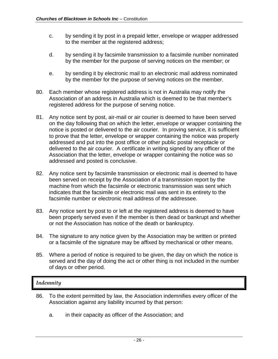- c. by sending it by post in a prepaid letter, envelope or wrapper addressed to the member at the registered address;
- d. by sending it by facsimile transmission to a facsimile number nominated by the member for the purpose of serving notices on the member; or
- e. by sending it by electronic mail to an electronic mail address nominated by the member for the purpose of serving notices on the member.
- 80. Each member whose registered address is not in Australia may notify the Association of an address in Australia which is deemed to be that member's registered address for the purpose of serving notice.
- 81. Any notice sent by post, air-mail or air courier is deemed to have been served on the day following that on which the letter, envelope or wrapper containing the notice is posted or delivered to the air courier. In proving service, it is sufficient to prove that the letter, envelope or wrapper containing the notice was properly addressed and put into the post office or other public postal receptacle or delivered to the air courier. A certificate in writing signed by any officer of the Association that the letter, envelope or wrapper containing the notice was so addressed and posted is conclusive.
- 82. Any notice sent by facsimile transmission or electronic mail is deemed to have been served on receipt by the Association of a transmission report by the machine from which the facsimile or electronic transmission was sent which indicates that the facsimile or electronic mail was sent in its entirety to the facsimile number or electronic mail address of the addressee.
- 83. Any notice sent by post to or left at the registered address is deemed to have been properly served even if the member is then dead or bankrupt and whether or not the Association has notice of the death or bankruptcy.
- 84. The signature to any notice given by the Association may be written or printed or a facsimile of the signature may be affixed by mechanical or other means.
- 85. Where a period of notice is required to be given, the day on which the notice is served and the day of doing the act or other thing is not included in the number of days or other period.

#### *Indemnity*

- 86. To the extent permitted by law, the Association indemnifies every officer of the Association against any liability incurred by that person:
	- a. in their capacity as officer of the Association; and